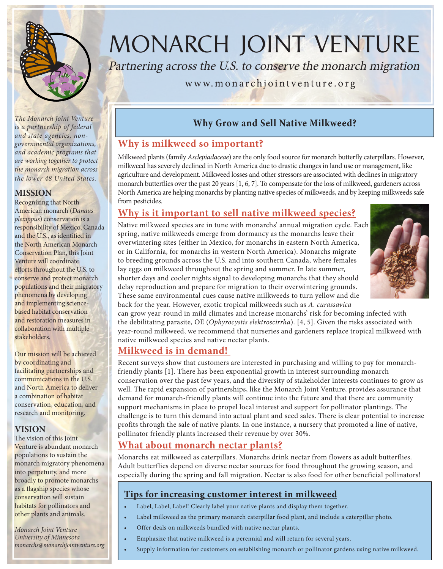

*is a partnership of federal and state agencies, nongovernmental organizations, and academic programs that are working together to protect the monarch migration across the lower 48 United States.* 

#### **MISSION**

Recognizing that North American monarch (*Danaus plexippus*) conservation is a responsibility of Mexico, Canada and the U.S., as identified in the North American Monarch Conservation Plan, this Joint Venture will coordinate efforts throughout the U.S. to conserve and protect monarch populations and their migratory phenomena by developing and implementing sciencebased habitat conservation and restoration measures in collaboration with multiple stakeholders.

Our mission will be achieved by coordinating and facilitating partnerships and communications in the U.S. and North America to deliver a combination of habitat conservation, education, and research and monitoring.

#### **VISION**

The vision of this Joint Venture is abundant monarch populations to sustain the monarch migratory phenomena into perpetuity, and more broadly to promote monarchs as a flagship species whose conservation will sustain habitats for pollinators and other plants and animals.

*Monarch Joint Venture University of Minnesota monarchs@monarchjointventure.org*

# MONARCH JOINT VENTURE

Partnering across the U.S. to conserve the monarch migration

#### www.monarchjointventure.org

## **Why Grow and Sell Native Milkweed?** *The Monarch Joint Venture*

## **Why is milkweed so important?**

Milkweed plants (family *Asclepiadaceae*) are the only food source for monarch butterfly caterpillars. However, milkweed has severely declined in North America due to drastic changes in land use or management, like agriculture and development. Milkweed losses and other stressors are associated with declines in migratory monarch butterflies over the past 20 years [1, 6, 7]. To compensate for the loss of milkweed, gardeners across North America are helping monarchs by planting native species of milkweeds, and by keeping milkweeds safe from pesticides.

#### **Why is it important to sell native milkweed species?**

Native milkweed species are in tune with monarchs' annual migration cycle. Each spring, native milkweeds emerge from dormancy as the monarchs leave their overwintering sites (either in Mexico, for monarchs in eastern North America, or in California, for monarchs in western North America). Monarchs migrate to breeding grounds across the U.S. and into southern Canada, where females lay eggs on milkweed throughout the spring and summer. In late summer, shorter days and cooler nights signal to developing monarchs that they should delay reproduction and prepare for migration to their overwintering grounds. These same environmental cues cause native milkweeds to turn yellow and die back for the year. However, exotic tropical milkweeds such as *A. curassavica*



can grow year-round in mild climates and increase monarchs' risk for becoming infected with the debilitating parasite, OE (*Ophyrocystis elektroscirrha*). [4, 5]. Given the risks associated with year-round milkweed, we recommend that nurseries and gardeners replace tropical milkweed with native milkweed species and native nectar plants.

#### **Milkweed is in demand!**

Recent surveys show that customers are interested in purchasing and willing to pay for monarchfriendly plants [1]. There has been exponential growth in interest surrounding monarch conservation over the past few years, and the diversity of stakeholder interests continues to grow as well. The rapid expansion of partnerships, like the Monarch Joint Venture, provides assurance that demand for monarch-friendly plants will continue into the future and that there are community support mechanisms in place to propel local interest and support for pollinator plantings. The challenge is to turn this demand into actual plant and seed sales. There is clear potential to increase profits through the sale of native plants. In one instance, a nursery that promoted a line of native, pollinator friendly plants increased their revenue by over 30%.

#### **What about monarch nectar plants?**

Monarchs eat milkweed as caterpillars. Monarchs drink nectar from flowers as adult butterflies. Adult butterflies depend on diverse nectar sources for food throughout the growing season, and especially during the spring and fall migration. Nectar is also food for other beneficial pollinators!

#### **Tips for increasing customer interest in milkweed**

- Label, Label, Label! Clearly label your native plants and display them together.
- Label milkweed as the primary monarch caterpillar food plant, and include a caterpillar photo.
- Offer deals on milkweeds bundled with native nectar plants.
- Emphasize that native milkweed is a perennial and will return for several years.
- Supply information for customers on establishing monarch or pollinator gardens using native milkweed.